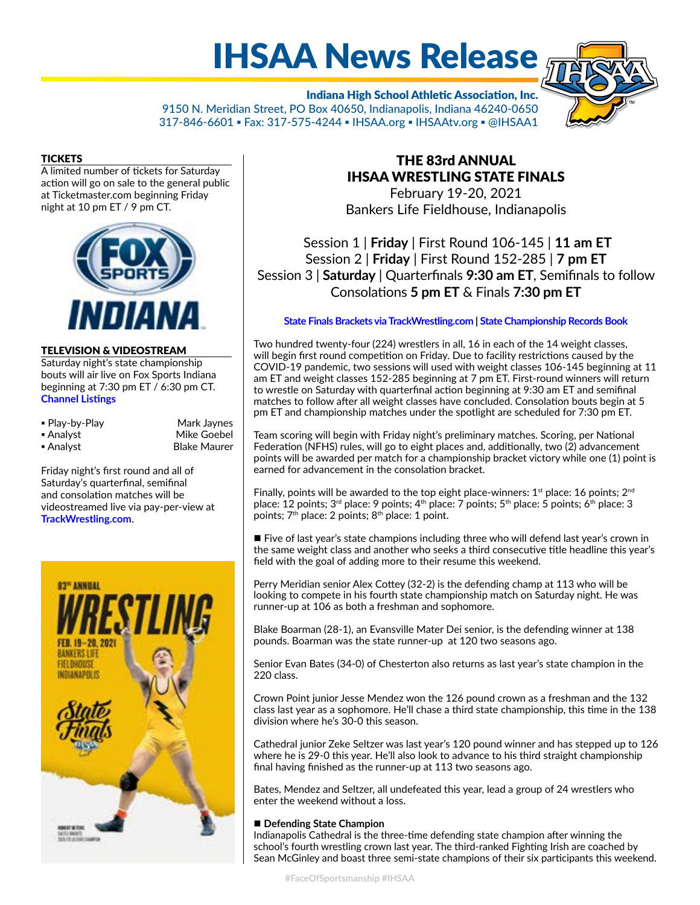# IHSAA News Release

Indiana High School Athletic Association, Inc. 9150 N. Meridian Street, PO Box 40650, Indianapolis, Indiana 46240-0650 317-846-6601 ▪ Fax: 317-575-4244 ▪ IHSAA.org ▪ IHSAAtv.org ▪ @IHSAA1



A limited number of tickets for Saturday action will go on sale to the general public at Ticketmaster.com beginning Friday night at 10 pm ET / 9 pm CT.



#### TELEVISION & VIDEOSTREAM

Saturday night's state championship bouts will air live on Fox Sports Indiana beginning at 7:30 pm ET / 6:30 pm CT. **[Channel Listings](http://www.ihsaa.org/Portals/0/boys%20sports/wrestling/2020-21/FSI%20Wrestling%20State%20Finals.pdf)**

| • Play-by-Play | Mark Jaynes |
|----------------|-------------|
| ■ Analyst      | Mike Goebel |

- 
- Mark Jaynes ■ Analyst Blake Maurer

Friday night's first round and all of Saturday's quarterfinal, semifinal and consolation matches will be videostreamed live via pay-per-view at **[TrackWrestling.com](https://www.trackwrestling.com/Login.jsp?TIM=1613495017895&twSessionId=waenamisok&tName=IHSAA%20State%20Finals&state=&sDate=&eDate=&lastName=&firstName=&teamName=&sfvString=&city=&gbId=&camps=false)**.



## THE 83rd ANNUAL IHSAA WRESTLING STATE FINALS

February 19-20, 2021 Bankers Life Fieldhouse, Indianapolis

Session 1 | **Friday** | First Round 106-145 | **11 am ET** Session 2 | **Friday** | First Round 152-285 | **7 pm ET** Session 3 | **Saturday** | Quarterfinals **9:30 am ET**, Semifinals to follow Consolations **5 pm ET** & Finals **7:30 pm ET**

#### **[State Finals Brackets via TrackWrestling.com](https://www.trackwrestling.com/Login.jsp?TIM=1613495017895&twSessionId=waenamisok&tName=IHSAA%20State%20Finals&state=&sDate=&eDate=&lastName=&firstName=&teamName=&sfvString=&city=&gbId=&camps=false) | [State Championship Records Book](http://www.ihsaa.org/Portals/0/boys%20sports/wrestling/Wrestling%20Records%20Book.pdf)**

Two hundred twenty-four (224) wrestlers in all, 16 in each of the 14 weight classes, will begin first round competition on Friday. Due to facility restrictions caused by the COVID-19 pandemic, two sessions will used with weight classes 106-145 beginning at 11 am ET and weight classes 152-285 beginning at 7 pm ET. First-round winners will return to wrestle on Saturday with quarterfinal action beginning at 9:30 am ET and semifinal matches to follow after all weight classes have concluded. Consolation bouts begin at 5 pm ET and championship matches under the spotlight are scheduled for 7:30 pm ET.

Team scoring will begin with Friday night's preliminary matches. Scoring, per National Federation (NFHS) rules, will go to eight places and, additionally, two (2) advancement points will be awarded per match for a championship bracket victory while one (1) point is earned for advancement in the consolation bracket.

Finally, points will be awarded to the top eight place-winners:  $1<sup>st</sup>$  place: 16 points;  $2<sup>nd</sup>$ place: 12 points;  $3^{rd}$  place: 9 points;  $4^{th}$  place: 7 points;  $5^{th}$  place: 5 points;  $6^{th}$  place: 3 points;  $7<sup>th</sup>$  place: 2 points;  $8<sup>th</sup>$  place: 1 point.

■ Five of last year's state champions including three who will defend last year's crown in the same weight class and another who seeks a third consecutive title headline this year's field with the goal of adding more to their resume this weekend.

Perry Meridian senior Alex Cottey (32-2) is the defending champ at 113 who will be looking to compete in his fourth state championship match on Saturday night. He was runner-up at 106 as both a freshman and sophomore.

Blake Boarman (28-1), an Evansville Mater Dei senior, is the defending winner at 138 pounds. Boarman was the state runner-up at 120 two seasons ago.

Senior Evan Bates (34-0) of Chesterton also returns as last year's state champion in the 220 class.

Crown Point junior Jesse Mendez won the 126 pound crown as a freshman and the 132 class last year as a sophomore. He'll chase a third state championship, this time in the 138 division where he's 30-0 this season.

Cathedral junior Zeke Seltzer was last year's 120 pound winner and has stepped up to 126 where he is 29-0 this year. He'll also look to advance to his third straight championship final having finished as the runner-up at 113 two seasons ago.

Bates, Mendez and Seltzer, all undefeated this year, lead a group of 24 wrestlers who enter the weekend without a loss.

#### ■ Defending State Champion

Indianapolis Cathedral is the three-time defending state champion after winning the school's fourth wrestling crown last year. The third-ranked Fighting Irish are coached by Sean McGinley and boast three semi-state champions of their six participants this weekend.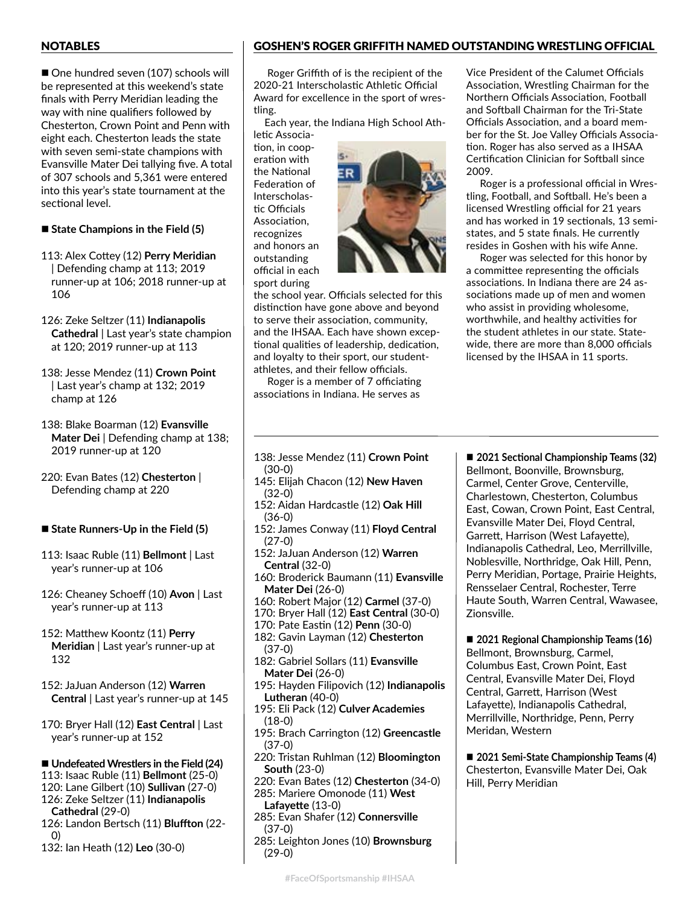#### NOTABLES

■ One hundred seven (107) schools will be represented at this weekend's state finals with Perry Meridian leading the way with nine qualifiers followed by Chesterton, Crown Point and Penn with eight each. Chesterton leads the state with seven semi-state champions with Evansville Mater Dei tallying five. A total of 307 schools and 5,361 were entered into this year's state tournament at the sectional level.

#### ■ State Champions in the Field (5)

- 113: Alex Cottey (12) **Perry Meridian** | Defending champ at 113; 2019 runner-up at 106; 2018 runner-up at 106
- 126: Zeke Seltzer (11) **Indianapolis Cathedral** | Last year's state champion at 120; 2019 runner-up at 113
- 138: Jesse Mendez (11) **Crown Point** | Last year's champ at 132; 2019 champ at 126
- 138: Blake Boarman (12) **Evansville Mater Dei** | Defending champ at 138; 2019 runner-up at 120
- 220: Evan Bates (12) **Chesterton** | Defending champ at 220
- State Runners-Up in the Field (5)
- 113: Isaac Ruble (11) **Bellmont** | Last year's runner-up at 106
- 126: Cheaney Schoeff (10) **Avon** | Last year's runner-up at 113
- 152: Matthew Koontz (11) **Perry Meridian** | Last year's runner-up at 132
- 152: JaJuan Anderson (12) **Warren Central** | Last year's runner-up at 145
- 170: Bryer Hall (12) **East Central** | Last year's runner-up at 152
- Undefeated Wrestlers in the Field (24)
- 113: Isaac Ruble (11) **Bellmont** (25-0)
- 120: Lane Gilbert (10) **Sullivan** (27-0)
- 126: Zeke Seltzer (11) **Indianapolis Cathedral** (29-0)
- 126: Landon Bertsch (11) **Bluffton** (22- 0)
- 132: Ian Heath (12) **Leo** (30-0)

### GOSHEN'S ROGER GRIFFITH NAMED OUTSTANDING WRESTLING OFFICIAL

Roger Griffith of is the recipient of the 2020-21 Interscholastic Athletic Official Award for excellence in the sport of wrestling.

Each year, the Indiana High School Ath-

letic Association, in cooperation with the National Federation of Interscholastic Officials Association, recognizes and honors an outstanding official in each sport during



the school year. Officials selected for this distinction have gone above and beyond to serve their association, community, and the IHSAA. Each have shown exceptional qualities of leadership, dedication, and loyalty to their sport, our studentathletes, and their fellow officials.

Roger is a member of 7 officiating associations in Indiana. He serves as

Vice President of the Calumet Officials Association, Wrestling Chairman for the Northern Officials Association, Football and Softball Chairman for the Tri-State Officials Association, and a board member for the St. Joe Valley Officials Association. Roger has also served as a IHSAA Certification Clinician for Softball since 2009.

Roger is a professional official in Wrestling, Football, and Softball. He's been a licensed Wrestling official for 21 years and has worked in 19 sectionals, 13 semistates, and 5 state finals. He currently resides in Goshen with his wife Anne.

Roger was selected for this honor by a committee representing the officials associations. In Indiana there are 24 associations made up of men and women who assist in providing wholesome, worthwhile, and healthy activities for the student athletes in our state. Statewide, there are more than 8,000 officials licensed by the IHSAA in 11 sports.

- 138: Jesse Mendez (11) **Crown Point** (30-0)
- 145: Elijah Chacon (12) **New Haven** (32-0)
- 152: Aidan Hardcastle (12) **Oak Hill** (36-0)
- 152: James Conway (11) **Floyd Central** (27-0)
- 152: JaJuan Anderson (12) **Warren Central** (32-0)
- 160: Broderick Baumann (11) **Evansville Mater Dei** (26-0)
- 160: Robert Major (12) **Carmel** (37-0)
- 170: Bryer Hall (12) **East Central** (30-0)
- 170: Pate Eastin (12) **Penn** (30-0)
- 182: Gavin Layman (12) **Chesterton** (37-0)
- 182: Gabriel Sollars (11) **Evansville Mater Dei** (26-0)
- 195: Hayden Filipovich (12) **Indianapolis Lutheran** (40-0)
- 195: Eli Pack (12) **Culver Academies** (18-0)
- 195: Brach Carrington (12) **Greencastle** (37-0)
- 220: Tristan Ruhlman (12) **Bloomington South** (23-0)
- 220: Evan Bates (12) **Chesterton** (34-0)

285: Mariere Omonode (11) **West Lafayette** (13-0)

- 285: Evan Shafer (12) **Connersville** (37-0)
- 285: Leighton Jones (10) **Brownsburg** (29-0)

■ 2021 Sectional Championship Teams (32) Bellmont, Boonville, Brownsburg, Carmel, Center Grove, Centerville, Charlestown, Chesterton, Columbus East, Cowan, Crown Point, East Central, Evansville Mater Dei, Floyd Central, Garrett, Harrison (West Lafayette), Indianapolis Cathedral, Leo, Merrillville, Noblesville, Northridge, Oak Hill, Penn, Perry Meridian, Portage, Prairie Heights, Rensselaer Central, Rochester, Terre Haute South, Warren Central, Wawasee, Zionsville.

■ 2021 Regional Championship Teams (16) Bellmont, Brownsburg, Carmel, Columbus East, Crown Point, East Central, Evansville Mater Dei, Floyd Central, Garrett, Harrison (West Lafayette), Indianapolis Cathedral, Merrillville, Northridge, Penn, Perry Meridan, Western

■ 2021 Semi-State Championship Teams (4) Chesterton, Evansville Mater Dei, Oak Hill, Perry Meridian